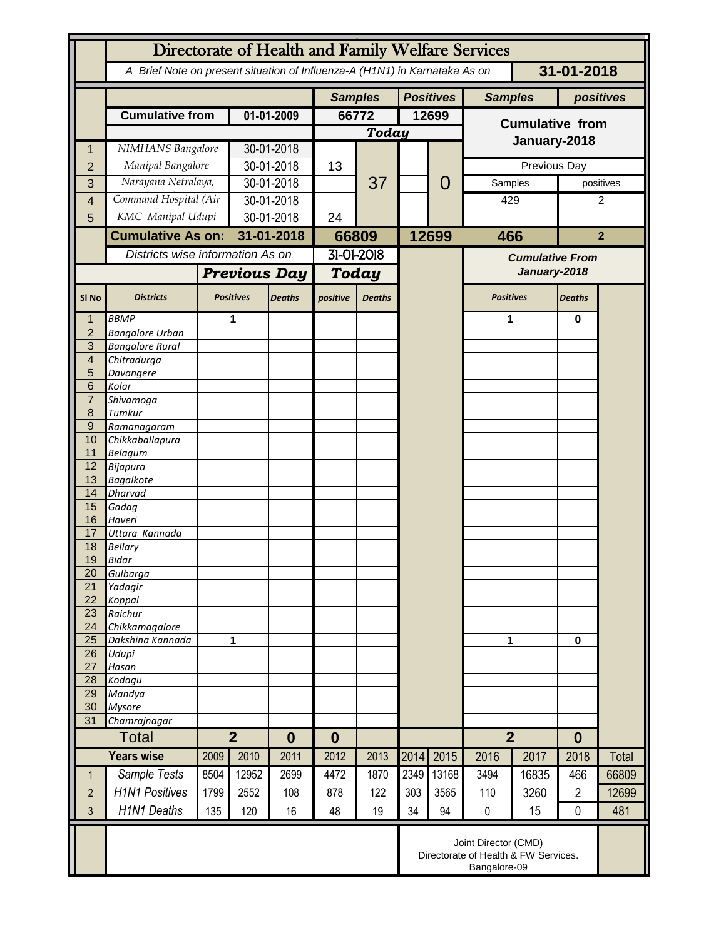|                     | Directorate of Health and Family Welfare Services                                        |                          |                                    |               |                  |               |       |                  |                                        |       |                  |                |  |
|---------------------|------------------------------------------------------------------------------------------|--------------------------|------------------------------------|---------------|------------------|---------------|-------|------------------|----------------------------------------|-------|------------------|----------------|--|
|                     | A Brief Note on present situation of Influenza-A (H1N1) in Karnataka As on<br>31-01-2018 |                          |                                    |               |                  |               |       |                  |                                        |       |                  |                |  |
|                     |                                                                                          |                          |                                    |               | <b>Samples</b>   |               |       | <b>Positives</b> | <b>Samples</b>                         |       | positives        |                |  |
|                     | <b>Cumulative from</b>                                                                   |                          | 01-01-2009                         |               | 66772            |               | 12699 |                  | <b>Cumulative from</b>                 |       |                  |                |  |
|                     |                                                                                          |                          |                                    |               | <b>Today</b>     |               |       |                  |                                        |       |                  |                |  |
|                     | NIMHANS Bangalore                                                                        |                          | 30-01-2018                         |               |                  |               |       |                  | January-2018                           |       |                  |                |  |
| $\overline{2}$      | Manipal Bangalore                                                                        |                          | 30-01-2018                         |               | 13               |               |       |                  | Previous Day                           |       |                  |                |  |
| 3                   | Narayana Netralaya,                                                                      |                          | 30-01-2018                         |               |                  | 37            |       | 0                | Samples                                |       | positives        |                |  |
| 4                   | Command Hospital (Air                                                                    |                          | 30-01-2018                         |               |                  |               |       |                  | 429                                    |       | 2                |                |  |
| 5                   | KMC Manipal Udupi                                                                        |                          | 30-01-2018                         |               | 24               |               |       |                  |                                        |       |                  |                |  |
|                     |                                                                                          | <b>Cumulative As on:</b> |                                    | 31-01-2018    |                  | 66809         |       | 12699            | 466                                    |       |                  | $\overline{2}$ |  |
|                     | Districts wise information As on                                                         |                          |                                    |               | 31-01-2018       |               |       |                  |                                        |       |                  |                |  |
|                     |                                                                                          |                          |                                    |               |                  |               |       |                  | <b>Cumulative From</b><br>January-2018 |       |                  |                |  |
|                     |                                                                                          | <b>Previous Day</b>      |                                    | Today         |                  |               |       |                  |                                        |       |                  |                |  |
| SI <sub>No</sub>    | <b>Districts</b>                                                                         |                          | <b>Positives</b>                   | <b>Deaths</b> | positive         | <b>Deaths</b> |       |                  | <b>Positives</b>                       |       | <b>Deaths</b>    |                |  |
| 1                   | <b>BBMP</b>                                                                              |                          | 1                                  |               |                  |               |       |                  | 1                                      |       | 0                |                |  |
| $\overline{2}$      | <b>Bangalore Urban</b>                                                                   |                          |                                    |               |                  |               |       |                  |                                        |       |                  |                |  |
| 3                   | <b>Bangalore Rural</b>                                                                   |                          |                                    |               |                  |               |       |                  |                                        |       |                  |                |  |
| $\overline{4}$<br>5 | Chitradurga<br>Davangere                                                                 |                          |                                    |               |                  |               |       |                  |                                        |       |                  |                |  |
| 6                   | Kolar                                                                                    |                          |                                    |               |                  |               |       |                  |                                        |       |                  |                |  |
| $\overline{7}$      | Shivamoga                                                                                |                          |                                    |               |                  |               |       |                  |                                        |       |                  |                |  |
| 8                   | Tumkur                                                                                   |                          |                                    |               |                  |               |       |                  |                                        |       |                  |                |  |
| 9                   | Ramanagaram                                                                              |                          |                                    |               |                  |               |       |                  |                                        |       |                  |                |  |
| 10                  | Chikkaballapura                                                                          |                          |                                    |               |                  |               |       |                  |                                        |       |                  |                |  |
| 11<br>12            | <b>Belagum</b><br>Bijapura                                                               |                          |                                    |               |                  |               |       |                  |                                        |       |                  |                |  |
| 13                  | <b>Bagalkote</b>                                                                         |                          |                                    |               |                  |               |       |                  |                                        |       |                  |                |  |
| 14                  | <b>Dharvad</b>                                                                           |                          |                                    |               |                  |               |       |                  |                                        |       |                  |                |  |
| 15                  | Gadag                                                                                    |                          |                                    |               |                  |               |       |                  |                                        |       |                  |                |  |
| 16                  | Haveri                                                                                   |                          |                                    |               |                  |               |       |                  |                                        |       |                  |                |  |
| 17<br>18            | Uttara Kannada<br><b>Bellary</b>                                                         |                          |                                    |               |                  |               |       |                  |                                        |       |                  |                |  |
| 19                  | <b>Bidar</b>                                                                             |                          |                                    |               |                  |               |       |                  |                                        |       |                  |                |  |
| 20                  | Gulbarga                                                                                 |                          |                                    |               |                  |               |       |                  |                                        |       |                  |                |  |
| 21                  | Yadagir                                                                                  |                          |                                    |               |                  |               |       |                  |                                        |       |                  |                |  |
| 22                  | Koppal                                                                                   |                          |                                    |               |                  |               |       |                  |                                        |       |                  |                |  |
| 23<br>24            | Raichur<br>Chikkamagalore                                                                |                          |                                    |               |                  |               |       |                  |                                        |       |                  |                |  |
| 25                  | Dakshina Kannada                                                                         | 1                        |                                    |               |                  |               |       |                  | 1                                      |       | 0                |                |  |
| 26                  | Udupi                                                                                    |                          |                                    |               |                  |               |       |                  |                                        |       |                  |                |  |
| 27                  | Hasan                                                                                    |                          |                                    |               |                  |               |       |                  |                                        |       |                  |                |  |
| 28                  | Kodagu                                                                                   |                          |                                    |               |                  |               |       |                  |                                        |       |                  |                |  |
| 29<br>30            | Mandya                                                                                   |                          |                                    |               |                  |               |       |                  |                                        |       |                  |                |  |
| 31                  | <b>Mysore</b><br>Chamrajnagar                                                            |                          |                                    |               |                  |               |       |                  |                                        |       |                  |                |  |
|                     | <b>Total</b>                                                                             |                          | $\overline{2}$<br>$\boldsymbol{0}$ |               | $\boldsymbol{0}$ |               |       |                  | $\overline{2}$                         |       | $\boldsymbol{0}$ |                |  |
|                     | <b>Years wise</b><br>2009                                                                |                          | 2010                               | 2011          | 2012             | 2013          | 2014  | 2015             | 2016                                   | 2017  | 2018             | Total          |  |
| 1                   | Sample Tests                                                                             | 8504                     | 12952                              | 2699          | 4472             | 1870          | 2349  | 13168            | 3494                                   | 16835 | 466              | 66809          |  |
|                     |                                                                                          |                          |                                    |               |                  |               |       |                  |                                        |       |                  |                |  |
| $\overline{2}$      | <b>H1N1 Positives</b>                                                                    | 1799                     | 2552                               | 108           | 878              | 122           | 303   | 3565             | 110                                    | 3260  | $\overline{2}$   | 12699          |  |
| 3                   | <b>H1N1 Deaths</b>                                                                       | 135                      | 120                                | 16            | 48               | 19            | 34    | 94               | $\mathbf 0$                            | 15    | $\mathbf 0$      | 481            |  |
|                     | Joint Director (CMD)<br>Directorate of Health & FW Services.<br>Bangalore-09             |                          |                                    |               |                  |               |       |                  |                                        |       |                  |                |  |